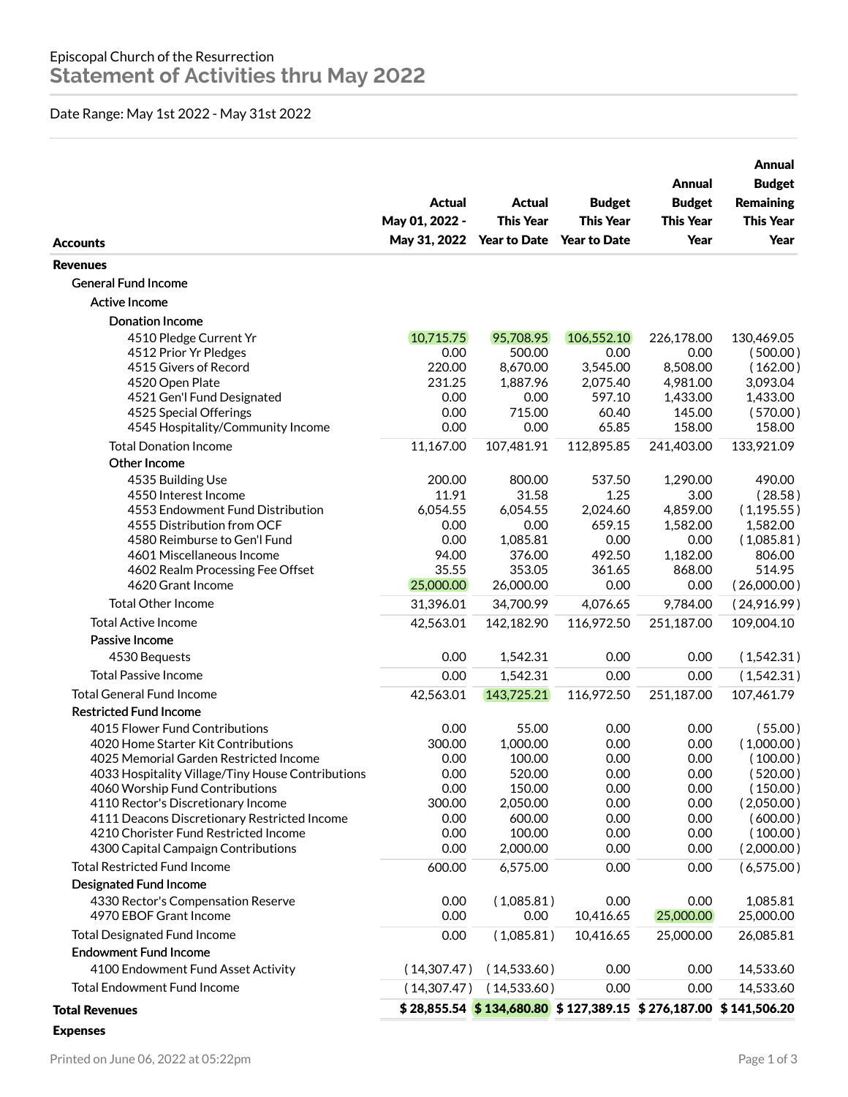## Date Range: May 1st 2022 - May 31st 2022

| <b>Accounts</b>                                                                       | Actual<br>May 01, 2022 -<br>May 31, 2022 | Actual<br><b>This Year</b><br><b>Year to Date</b>                    | <b>Budget</b><br><b>This Year</b><br><b>Year to Date</b> | Annual<br><b>Budget</b><br><b>This Year</b><br>Year | Annual<br><b>Budget</b><br><b>Remaining</b><br><b>This Year</b><br>Year |
|---------------------------------------------------------------------------------------|------------------------------------------|----------------------------------------------------------------------|----------------------------------------------------------|-----------------------------------------------------|-------------------------------------------------------------------------|
| <b>Revenues</b>                                                                       |                                          |                                                                      |                                                          |                                                     |                                                                         |
| <b>General Fund Income</b>                                                            |                                          |                                                                      |                                                          |                                                     |                                                                         |
| <b>Active Income</b>                                                                  |                                          |                                                                      |                                                          |                                                     |                                                                         |
| <b>Donation Income</b>                                                                |                                          |                                                                      |                                                          |                                                     |                                                                         |
| 4510 Pledge Current Yr                                                                | 10,715.75                                | 95,708.95                                                            | 106,552.10                                               | 226,178.00                                          | 130,469.05                                                              |
| 4512 Prior Yr Pledges                                                                 | 0.00                                     | 500.00                                                               | 0.00                                                     | 0.00                                                | (500.00)                                                                |
| 4515 Givers of Record                                                                 | 220.00                                   | 8,670.00                                                             | 3,545.00                                                 | 8,508.00                                            | (162.00)                                                                |
| 4520 Open Plate                                                                       | 231.25                                   | 1,887.96                                                             | 2,075.40                                                 | 4,981.00                                            | 3,093.04                                                                |
| 4521 Gen'l Fund Designated                                                            | 0.00                                     | 0.00                                                                 | 597.10                                                   | 1,433.00                                            | 1,433.00                                                                |
| 4525 Special Offerings                                                                | 0.00                                     | 715.00                                                               | 60.40                                                    | 145.00                                              | (570.00)                                                                |
| 4545 Hospitality/Community Income                                                     | 0.00                                     | 0.00                                                                 | 65.85                                                    | 158.00                                              | 158.00                                                                  |
| <b>Total Donation Income</b>                                                          | 11,167.00                                | 107,481.91                                                           | 112,895.85                                               | 241,403.00                                          | 133,921.09                                                              |
| Other Income                                                                          |                                          |                                                                      |                                                          |                                                     |                                                                         |
| 4535 Building Use                                                                     | 200.00                                   | 800.00                                                               | 537.50                                                   | 1,290.00                                            | 490.00                                                                  |
| 4550 Interest Income<br>4553 Endowment Fund Distribution                              | 11.91<br>6,054.55                        | 31.58<br>6,054.55                                                    | 1.25<br>2,024.60                                         | 3.00<br>4,859.00                                    | (28.58)<br>(1, 195.55)                                                  |
| 4555 Distribution from OCF                                                            | 0.00                                     | 0.00                                                                 | 659.15                                                   | 1,582.00                                            | 1,582.00                                                                |
| 4580 Reimburse to Gen'l Fund                                                          | 0.00                                     | 1,085.81                                                             | 0.00                                                     | 0.00                                                | (1,085.81)                                                              |
| 4601 Miscellaneous Income                                                             | 94.00                                    | 376.00                                                               | 492.50                                                   | 1,182.00                                            | 806.00                                                                  |
| 4602 Realm Processing Fee Offset                                                      | 35.55                                    | 353.05                                                               | 361.65                                                   | 868.00                                              | 514.95                                                                  |
| 4620 Grant Income                                                                     | 25,000.00                                | 26,000.00                                                            | 0.00                                                     | 0.00                                                | (26,000.00)                                                             |
| <b>Total Other Income</b>                                                             | 31,396.01                                | 34,700.99                                                            | 4,076.65                                                 | 9,784.00                                            | (24,916.99)                                                             |
| <b>Total Active Income</b>                                                            | 42,563.01                                | 142,182.90                                                           | 116,972.50                                               | 251,187.00                                          | 109,004.10                                                              |
| Passive Income                                                                        |                                          |                                                                      |                                                          |                                                     |                                                                         |
| 4530 Bequests                                                                         | 0.00                                     | 1,542.31                                                             | 0.00                                                     | 0.00                                                | (1,542.31)                                                              |
| <b>Total Passive Income</b>                                                           | 0.00                                     | 1,542.31                                                             | 0.00                                                     | 0.00                                                | (1,542.31)                                                              |
| <b>Total General Fund Income</b>                                                      | 42,563.01                                | 143,725.21                                                           | 116,972.50                                               | 251,187.00                                          | 107,461.79                                                              |
| <b>Restricted Fund Income</b>                                                         |                                          |                                                                      |                                                          |                                                     |                                                                         |
| 4015 Flower Fund Contributions                                                        | 0.00                                     | 55.00                                                                | 0.00                                                     | 0.00                                                | (55.00)                                                                 |
| 4020 Home Starter Kit Contributions                                                   | 300.00                                   | 1,000.00                                                             | 0.00                                                     | 0.00                                                | (1,000.00)                                                              |
| 4025 Memorial Garden Restricted Income                                                | 0.00                                     | 100.00                                                               | 0.00                                                     | 0.00                                                | ( 100.00 )                                                              |
| 4033 Hospitality Village/Tiny House Contributions                                     | 0.00                                     | 520.00                                                               | 0.00                                                     | 0.00                                                | (520.00)                                                                |
| 4060 Worship Fund Contributions                                                       | 0.00                                     | 150.00                                                               | 0.00                                                     | 0.00                                                | (150.00)                                                                |
| 4110 Rector's Discretionary Income                                                    | 300.00                                   | 2,050.00                                                             | 0.00                                                     | 0.00                                                | (2,050.00)                                                              |
| 4111 Deacons Discretionary Restricted Income<br>4210 Chorister Fund Restricted Income | 0.00<br>0.00                             | 600.00<br>100.00                                                     | 0.00<br>0.00                                             | 0.00<br>0.00                                        | (600.00)<br>(100.00)                                                    |
| 4300 Capital Campaign Contributions                                                   | 0.00                                     | 2,000.00                                                             | 0.00                                                     | 0.00                                                | (2,000.00)                                                              |
| <b>Total Restricted Fund Income</b>                                                   | 600.00                                   | 6,575.00                                                             | 0.00                                                     | 0.00                                                | (6,575.00)                                                              |
| Designated Fund Income                                                                |                                          |                                                                      |                                                          |                                                     |                                                                         |
| 4330 Rector's Compensation Reserve                                                    | 0.00                                     | (1,085.81)                                                           | 0.00                                                     | 0.00                                                | 1,085.81                                                                |
| 4970 EBOF Grant Income                                                                | 0.00                                     | 0.00                                                                 | 10,416.65                                                | 25,000.00                                           | 25,000.00                                                               |
| <b>Total Designated Fund Income</b>                                                   | 0.00                                     | (1,085.81)                                                           | 10,416.65                                                | 25,000.00                                           | 26,085.81                                                               |
| <b>Endowment Fund Income</b>                                                          |                                          |                                                                      |                                                          |                                                     |                                                                         |
| 4100 Endowment Fund Asset Activity                                                    | (14,307.47)                              | (14,533.60)                                                          | 0.00                                                     | 0.00                                                | 14,533.60                                                               |
| <b>Total Endowment Fund Income</b>                                                    |                                          | (14,533.60)                                                          | 0.00                                                     |                                                     |                                                                         |
|                                                                                       | (14,307.47)                              |                                                                      |                                                          | 0.00                                                | 14,533.60                                                               |
| <b>Total Revenues</b>                                                                 |                                          | $$28,855.54$ $$134,680.80$ $$127,389.15$ $$276,187.00$ $$141,506.20$ |                                                          |                                                     |                                                                         |
| <b>Expenses</b>                                                                       |                                          |                                                                      |                                                          |                                                     |                                                                         |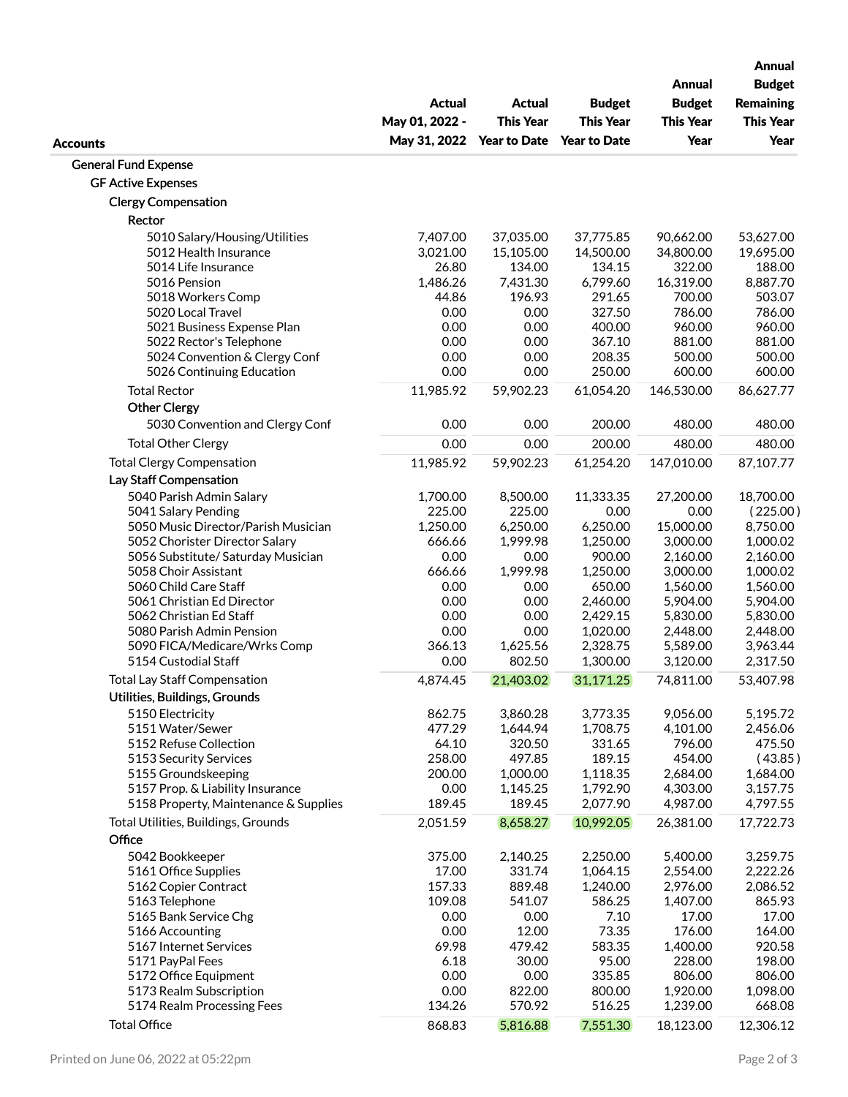|                                                            |                                 |                                   | <b>Budget</b>        | <b>Annual</b><br><b>Budget</b> | <b>Annual</b><br><b>Budget</b><br><b>Remaining</b><br><b>This Year</b><br>Year |
|------------------------------------------------------------|---------------------------------|-----------------------------------|----------------------|--------------------------------|--------------------------------------------------------------------------------|
|                                                            | <b>Actual</b><br>May 01, 2022 - | <b>Actual</b><br><b>This Year</b> |                      |                                |                                                                                |
|                                                            |                                 |                                   | <b>This Year</b>     | <b>This Year</b>               |                                                                                |
| <b>Accounts</b>                                            | May 31, 2022                    | <b>Year to Date</b>               | <b>Year to Date</b>  | Year                           |                                                                                |
| <b>General Fund Expense</b>                                |                                 |                                   |                      |                                |                                                                                |
| <b>GF Active Expenses</b>                                  |                                 |                                   |                      |                                |                                                                                |
| <b>Clergy Compensation</b>                                 |                                 |                                   |                      |                                |                                                                                |
| Rector                                                     |                                 |                                   |                      |                                |                                                                                |
| 5010 Salary/Housing/Utilities                              | 7,407.00                        | 37,035.00                         | 37,775.85            | 90,662.00                      | 53,627.00                                                                      |
| 5012 Health Insurance                                      | 3,021.00                        | 15,105.00                         | 14,500.00            | 34,800.00                      | 19,695.00                                                                      |
| 5014 Life Insurance                                        | 26.80                           | 134.00                            | 134.15               | 322.00                         | 188.00                                                                         |
| 5016 Pension                                               | 1,486.26                        | 7,431.30                          | 6,799.60             | 16,319.00                      | 8,887.70                                                                       |
| 5018 Workers Comp                                          | 44.86                           | 196.93                            | 291.65               | 700.00                         | 503.07                                                                         |
| 5020 Local Travel                                          | 0.00                            | 0.00                              | 327.50               | 786.00                         | 786.00                                                                         |
| 5021 Business Expense Plan                                 | 0.00                            | 0.00                              | 400.00               | 960.00                         | 960.00                                                                         |
| 5022 Rector's Telephone                                    | 0.00                            | 0.00                              | 367.10               | 881.00                         | 881.00                                                                         |
| 5024 Convention & Clergy Conf<br>5026 Continuing Education | 0.00<br>0.00                    | 0.00<br>0.00                      | 208.35<br>250.00     | 500.00<br>600.00               | 500.00<br>600.00                                                               |
|                                                            |                                 |                                   |                      |                                |                                                                                |
| <b>Total Rector</b>                                        | 11,985.92                       | 59,902.23                         | 61,054.20            | 146,530.00                     | 86,627.77                                                                      |
| <b>Other Clergy</b>                                        | 0.00                            | 0.00                              | 200.00               | 480.00                         | 480.00                                                                         |
| 5030 Convention and Clergy Conf                            |                                 |                                   |                      |                                |                                                                                |
| <b>Total Other Clergy</b>                                  | 0.00                            | 0.00                              | 200.00               | 480.00                         | 480.00                                                                         |
| <b>Total Clergy Compensation</b>                           | 11,985.92                       | 59,902.23                         | 61,254.20            | 147,010.00                     | 87,107.77                                                                      |
| Lay Staff Compensation<br>5040 Parish Admin Salary         |                                 |                                   | 11,333.35            |                                | 18,700.00                                                                      |
| 5041 Salary Pending                                        | 1,700.00<br>225.00              | 8,500.00<br>225.00                | 0.00                 | 27,200.00<br>0.00              | (225.00)                                                                       |
| 5050 Music Director/Parish Musician                        | 1,250.00                        | 6,250.00                          | 6,250.00             | 15,000.00                      | 8,750.00                                                                       |
| 5052 Chorister Director Salary                             | 666.66                          | 1,999.98                          | 1,250.00             | 3,000.00                       | 1,000.02                                                                       |
| 5056 Substitute/ Saturday Musician                         | 0.00                            | 0.00                              | 900.00               | 2,160.00                       | 2,160.00                                                                       |
| 5058 Choir Assistant                                       | 666.66                          | 1,999.98                          | 1,250.00             | 3,000.00                       | 1,000.02                                                                       |
| 5060 Child Care Staff                                      | 0.00                            | 0.00                              | 650.00               | 1,560.00                       | 1,560.00                                                                       |
| 5061 Christian Ed Director                                 | 0.00                            | 0.00                              | 2,460.00             | 5,904.00                       | 5,904.00                                                                       |
| 5062 Christian Ed Staff                                    | 0.00                            | 0.00                              | 2,429.15             | 5,830.00                       | 5,830.00                                                                       |
| 5080 Parish Admin Pension<br>5090 FICA/Medicare/Wrks Comp  | 0.00<br>366.13                  | 0.00<br>1,625.56                  | 1,020.00<br>2,328.75 | 2,448.00<br>5,589.00           | 2,448.00<br>3,963.44                                                           |
| 5154 Custodial Staff                                       | 0.00                            | 802.50                            | 1,300.00             | 3,120.00                       | 2,317.50                                                                       |
| <b>Total Lay Staff Compensation</b>                        | 4,874.45                        | 21,403.02                         | 31,171.25            | 74,811.00                      | 53,407.98                                                                      |
| Utilities, Buildings, Grounds                              |                                 |                                   |                      |                                |                                                                                |
| 5150 Electricity                                           | 862.75                          | 3,860.28                          | 3,773.35             | 9,056.00                       | 5,195.72                                                                       |
| 5151 Water/Sewer                                           | 477.29                          | 1,644.94                          | 1,708.75             | 4,101.00                       | 2,456.06                                                                       |
| 5152 Refuse Collection                                     | 64.10                           | 320.50                            | 331.65               | 796.00                         | 475.50                                                                         |
| 5153 Security Services                                     | 258.00                          | 497.85                            | 189.15               | 454.00                         | (43.85)                                                                        |
| 5155 Groundskeeping                                        | 200.00                          | 1,000.00                          | 1,118.35             | 2,684.00                       | 1,684.00                                                                       |
| 5157 Prop. & Liability Insurance                           | 0.00                            | 1,145.25                          | 1,792.90             | 4,303.00                       | 3,157.75                                                                       |
| 5158 Property, Maintenance & Supplies                      | 189.45                          | 189.45                            | 2,077.90             | 4,987.00                       | 4,797.55                                                                       |
| Total Utilities, Buildings, Grounds                        | 2,051.59                        | 8,658.27                          | 10,992.05            | 26,381.00                      | 17,722.73                                                                      |
| Office                                                     |                                 |                                   |                      |                                |                                                                                |
| 5042 Bookkeeper                                            | 375.00                          | 2,140.25                          | 2,250.00             | 5,400.00                       | 3,259.75                                                                       |
| 5161 Office Supplies<br>5162 Copier Contract               | 17.00<br>157.33                 | 331.74<br>889.48                  | 1,064.15<br>1,240.00 | 2,554.00<br>2,976.00           | 2,222.26<br>2,086.52                                                           |
| 5163 Telephone                                             | 109.08                          | 541.07                            | 586.25               | 1,407.00                       | 865.93                                                                         |
| 5165 Bank Service Chg                                      | 0.00                            | 0.00                              | 7.10                 | 17.00                          | 17.00                                                                          |
| 5166 Accounting                                            | 0.00                            | 12.00                             | 73.35                | 176.00                         | 164.00                                                                         |
| 5167 Internet Services                                     | 69.98                           | 479.42                            | 583.35               | 1,400.00                       | 920.58                                                                         |
| 5171 PayPal Fees                                           | 6.18                            | 30.00                             | 95.00                | 228.00                         | 198.00                                                                         |
| 5172 Office Equipment                                      | 0.00                            | 0.00                              | 335.85               | 806.00                         | 806.00                                                                         |
| 5173 Realm Subscription                                    | 0.00                            | 822.00                            | 800.00               | 1,920.00                       | 1,098.00                                                                       |
| 5174 Realm Processing Fees                                 | 134.26                          | 570.92                            | 516.25               | 1,239.00                       | 668.08                                                                         |
| <b>Total Office</b>                                        | 868.83                          | 5,816.88                          | 7,551.30             | 18,123.00                      | 12,306.12                                                                      |